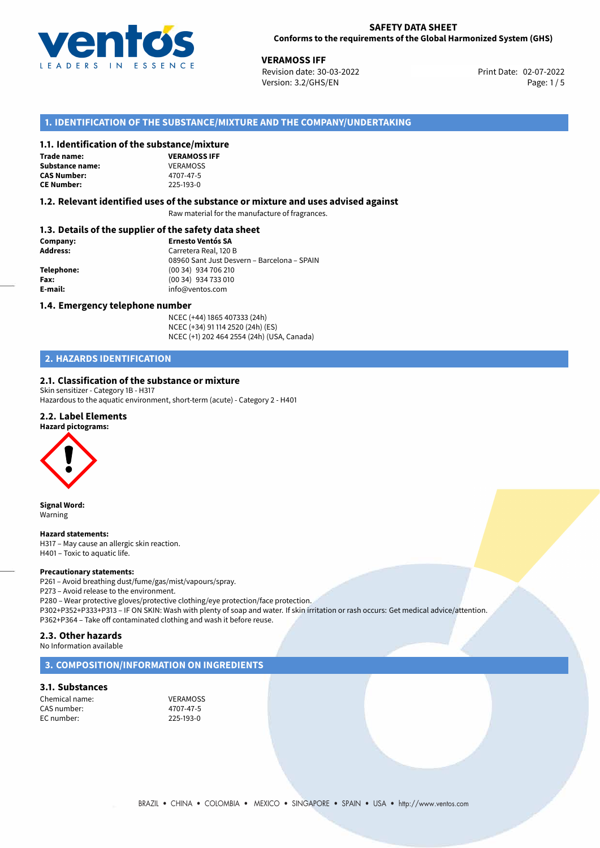

02-07-2022 **VERAMOSS IFF** Revision date: 30-03-2022 Print Date: Version: 3.2/GHS/EN Page: 1/5

# **1. IDENTIFICATION OF THE SUBSTANCE/MIXTURE AND THE COMPANY/UNDERTAKING**

# **1.1. Identification of the substance/mixture**

**Trade name: Substance name: CAS Number: CE Number:** 225-193-0

| , .an .c/1111.au    |
|---------------------|
| <b>VERAMOSS IFF</b> |
| VERAMOSS            |
| 4707-47-5           |
| 225-193-0           |

## **1.2. Relevant identified uses of the substance or mixture and uses advised against**

Raw material for the manufacture of fragrances.

# **1.3. Details of the supplier of the safety data sheet**

| Company:        | <b>Ernesto Ventós SA</b>                    |  |
|-----------------|---------------------------------------------|--|
| <b>Address:</b> | Carretera Real, 120 B                       |  |
|                 | 08960 Sant Just Desvern - Barcelona - SPAIN |  |
| Telephone:      | (00 34) 934 706 210                         |  |
| Fax:            | (00 34) 934 733 010                         |  |
| E-mail:         | info@ventos.com                             |  |
|                 |                                             |  |

## **1.4. Emergency telephone number**

NCEC (+44) 1865 407333 (24h) NCEC (+34) 91 114 2520 (24h) (ES) NCEC (+1) 202 464 2554 (24h) (USA, Canada)

# **2. HAZARDS IDENTIFICATION**

# **2.1. Classification of the substance or mixture**

Skin sensitizer - Category 1B - H317 Hazardous to the aquatic environment, short-term (acute) - Category 2 - H401

## **2.2. Label Elements**

### **Hazard pictograms:**



**Signal Word:** Warning

## **Hazard statements:**

H317 – May cause an allergic skin reaction. H401 – Toxic to aquatic life.

### **Precautionary statements:**

P261 – Avoid breathing dust/fume/gas/mist/vapours/spray.

P273 – Avoid release to the environment.

P280 – Wear protective gloves/protective clothing/eye protection/face protection. P302+P352+P333+P313 – IF ON SKIN: Wash with plenty of soap and water. If skin irritation or rash occurs: Get medical advice/attention. P362+P364 – Take off contaminated clothing and wash it before reuse.

# **2.3. Other hazards**

No Information available

# **3. COMPOSITION/INFORMATION ON INGREDIENTS**

# **3.1. Substances**

Chemical name: VERAMOSS<br>CAS number: 4707-47-5 CAS number: EC number: 225-193-0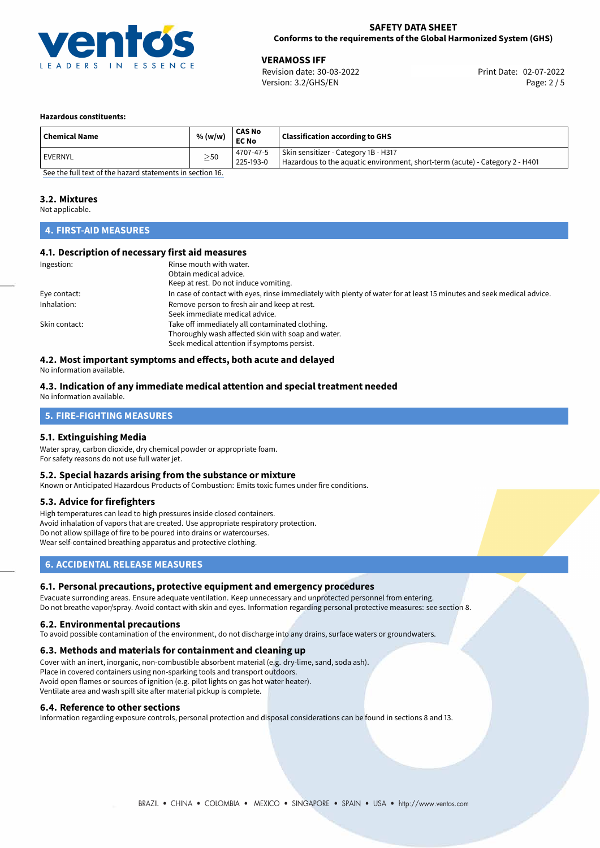

02-07-2022 **VERAMOSS IFF** Revision date: 30-03-2022 Print Date: Version: 3.2/GHS/EN Page: 2 / 5

## **Hazardous constituents:**

| <b>Chemical Name</b>                                     | % (w/w)   | CAS No<br><b>EC No</b> | <b>Classification according to GHS</b>                                       |
|----------------------------------------------------------|-----------|------------------------|------------------------------------------------------------------------------|
| <b>EVERNYL</b>                                           | $\geq$ 50 | 4707-47-5              | Skin sensitizer - Category 1B - H317                                         |
|                                                          |           | 225-193-0              | Hazardous to the aquatic environment, short-term (acute) - Category 2 - H401 |
| See the full text of the horard statements in section 16 |           |                        |                                                                              |

[See the full text of the hazard statements in section 16.](#page-4-0)

## **3.2. Mixtures**

Not applicable.

# **4. FIRST-AID MEASURES**

## **4.1. Description of necessary first aid measures**

| Ingestion:    | Rinse mouth with water.<br>Obtain medical advice.<br>Keep at rest. Do not induce vomiting.                                                           |
|---------------|------------------------------------------------------------------------------------------------------------------------------------------------------|
| Eye contact:  | In case of contact with eyes, rinse immediately with plenty of water for at least 15 minutes and seek medical advice.                                |
| Inhalation:   | Remove person to fresh air and keep at rest.<br>Seek immediate medical advice.                                                                       |
| Skin contact: | Take off immediately all contaminated clothing.<br>Thoroughly wash affected skin with soap and water.<br>Seek medical attention if symptoms persist. |

# **4.2. Most important symptoms and effects, both acute and delayed**

No information available.

## **4.3. Indication of any immediate medical attention and special treatment needed** No information available.

# **5. FIRE-FIGHTING MEASURES**

# **5.1. Extinguishing Media**

Water spray, carbon dioxide, dry chemical powder or appropriate foam. For safety reasons do not use full water jet.

## **5.2. Special hazards arising from the substance or mixture**

Known or Anticipated Hazardous Products of Combustion: Emits toxic fumes under fire conditions.

# **5.3. Advice for firefighters**

High temperatures can lead to high pressures inside closed containers. Avoid inhalation of vapors that are created. Use appropriate respiratory protection. Do not allow spillage of fire to be poured into drains or watercourses. Wear self-contained breathing apparatus and protective clothing.

# **6. ACCIDENTAL RELEASE MEASURES**

## **6.1. Personal precautions, protective equipment and emergency procedures**

Evacuate surronding areas. Ensure adequate ventilation. Keep unnecessary and unprotected personnel from entering. Do not breathe vapor/spray. Avoid contact with skin and eyes. Information regarding personal protective measures: see section 8.

## **6.2. Environmental precautions**

To avoid possible contamination of the environment, do not discharge into any drains, surface waters or groundwaters.

## **6.3. Methods and materials for containment and cleaning up**

Cover with an inert, inorganic, non-combustible absorbent material (e.g. dry-lime, sand, soda ash). Place in covered containers using non-sparking tools and transport outdoors. Avoid open flames or sources of ignition (e.g. pilot lights on gas hot water heater). Ventilate area and wash spill site after material pickup is complete.

## **6.4. Reference to other sections**

Information regarding exposure controls, personal protection and disposal considerations can be found in sections 8 and 13.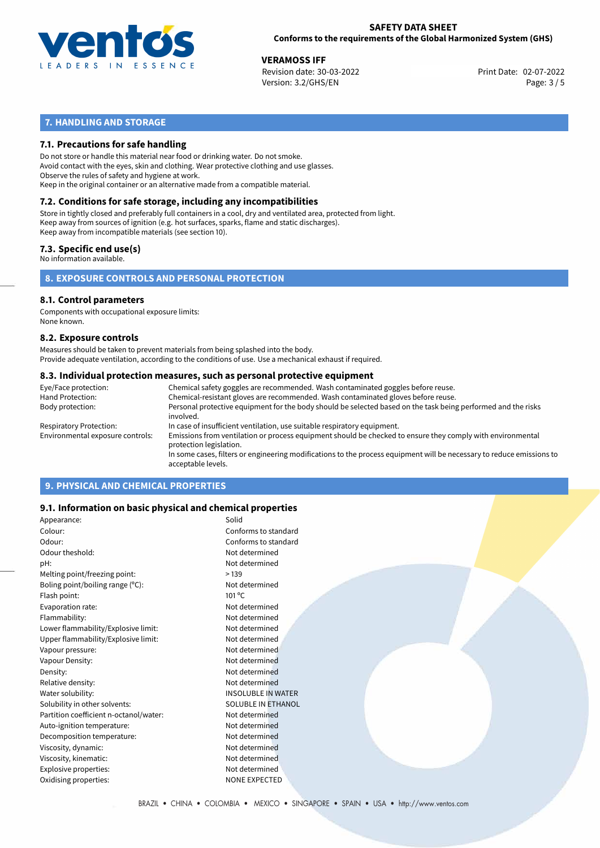

02-07-2022 **VERAMOSS IFF** Revision date: 30-03-2022 Print Date: Version: 3.2/GHS/EN Page: 3 / 5

# **7. HANDLING AND STORAGE**

# **7.1. Precautions for safe handling**

Do not store or handle this material near food or drinking water. Do not smoke. Avoid contact with the eyes, skin and clothing. Wear protective clothing and use glasses. Observe the rules of safety and hygiene at work. Keep in the original container or an alternative made from a compatible material.

# **7.2. Conditions for safe storage, including any incompatibilities**

Store in tightly closed and preferably full containers in a cool, dry and ventilated area, protected from light. Keep away from sources of ignition (e.g. hot surfaces, sparks, flame and static discharges). Keep away from incompatible materials (see section 10).

# **7.3. Specific end use(s)**

No information available.

**8. EXPOSURE CONTROLS AND PERSONAL PROTECTION**

# **8.1. Control parameters**

Components with occupational exposure limits: None known.

## **8.2. Exposure controls**

Measures should be taken to prevent materials from being splashed into the body. Provide adequate ventilation, according to the conditions of use. Use a mechanical exhaust if required.

## **8.3. Individual protection measures, such as personal protective equipment**

| Eye/Face protection:             | Chemical safety goggles are recommended. Wash contaminated goggles before reuse.                                                            |
|----------------------------------|---------------------------------------------------------------------------------------------------------------------------------------------|
| Hand Protection:                 | Chemical-resistant gloves are recommended. Wash contaminated gloves before reuse.                                                           |
| Body protection:                 | Personal protective equipment for the body should be selected based on the task being performed and the risks<br>involved.                  |
| Respiratory Protection:          | In case of insufficient ventilation, use suitable respiratory equipment.                                                                    |
| Environmental exposure controls: | Emissions from ventilation or process equipment should be checked to ensure they comply with environmental<br>protection legislation.       |
|                                  | In some cases, filters or engineering modifications to the process equipment will be necessary to reduce emissions to<br>acceptable levels. |
|                                  |                                                                                                                                             |

# **9. PHYSICAL AND CHEMICAL PROPERTIES**

# **9.1. Information on basic physical and chemical properties**

| Appearance:                            | Solid                     |
|----------------------------------------|---------------------------|
| Colour:                                | Conforms to standard      |
| Odour:                                 | Conforms to standard      |
| Odour theshold:                        | Not determined            |
| pH:                                    | Not determined            |
| Melting point/freezing point:          | >139                      |
| Boling point/boiling range $(°C)$ :    | Not determined            |
| Flash point:                           | $101^{\circ}$ C           |
| Evaporation rate:                      | Not determined            |
| Flammability:                          | Not determined            |
| Lower flammability/Explosive limit:    | Not determined            |
| Upper flammability/Explosive limit:    | Not determined            |
| Vapour pressure:                       | Not determined            |
| Vapour Density:                        | Not determined            |
| Density:                               | Not determined            |
| Relative density:                      | Not determined            |
| Water solubility:                      | <b>INSOLUBLE IN WATER</b> |
| Solubility in other solvents:          | SOLUBLE IN ETHANOL        |
| Partition coefficient n-octanol/water: | Not determined            |
| Auto-ignition temperature:             | Not determined            |
| Decomposition temperature:             | Not determined            |
| Viscosity, dynamic:                    | Not determined            |
| Viscosity, kinematic:                  | Not determined            |
| Explosive properties:                  | Not determined            |
| Oxidising properties:                  | NONE EXPECTED             |
|                                        |                           |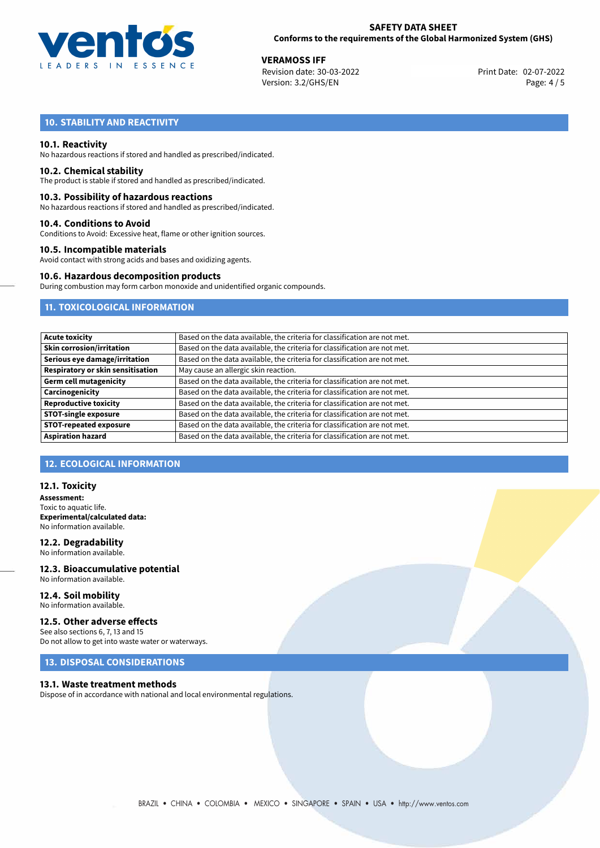

02-07-2022 **VERAMOSS IFF** Revision date: 30-03-2022 Print Date: Version: 3.2/GHS/EN Page: 4 / 5

# **10. STABILITY AND REACTIVITY**

## **10.1. Reactivity**

No hazardous reactions if stored and handled as prescribed/indicated.

## **10.2. Chemical stability**

The product is stable if stored and handled as prescribed/indicated.

## **10.3. Possibility of hazardous reactions**

No hazardous reactions if stored and handled as prescribed/indicated.

## **10.4. Conditions to Avoid**

Conditions to Avoid: Excessive heat, flame or other ignition sources.

## **10.5. Incompatible materials**

Avoid contact with strong acids and bases and oxidizing agents.

## **10.6. Hazardous decomposition products**

During combustion may form carbon monoxide and unidentified organic compounds.

# **11. TOXICOLOGICAL INFORMATION**

| <b>Acute toxicity</b>             | Based on the data available, the criteria for classification are not met. |
|-----------------------------------|---------------------------------------------------------------------------|
| Skin corrosion/irritation         | Based on the data available, the criteria for classification are not met. |
| Serious eye damage/irritation     | Based on the data available, the criteria for classification are not met. |
| Respiratory or skin sensitisation | May cause an allergic skin reaction.                                      |
| Germ cell mutagenicity            | Based on the data available, the criteria for classification are not met. |
| Carcinogenicity                   | Based on the data available, the criteria for classification are not met. |
| <b>Reproductive toxicity</b>      | Based on the data available, the criteria for classification are not met. |
| <b>STOT-single exposure</b>       | Based on the data available, the criteria for classification are not met. |
| <b>STOT-repeated exposure</b>     | Based on the data available, the criteria for classification are not met. |
| <b>Aspiration hazard</b>          | Based on the data available, the criteria for classification are not met. |

# **12. ECOLOGICAL INFORMATION**

## **12.1. Toxicity**

**Assessment:** Toxic to aquatic life. **Experimental/calculated data:** No information available.

**12.2. Degradability** No information available.

**12.3. Bioaccumulative potential** No information available.

### **12.4. Soil mobility** No information available.

## **12.5. Other adverse effects**

See also sections 6, 7, 13 and 15 Do not allow to get into waste water or waterways.

# **13. DISPOSAL CONSIDERATIONS**

## **13.1. Waste treatment methods**

Dispose of in accordance with national and local environmental regulations.